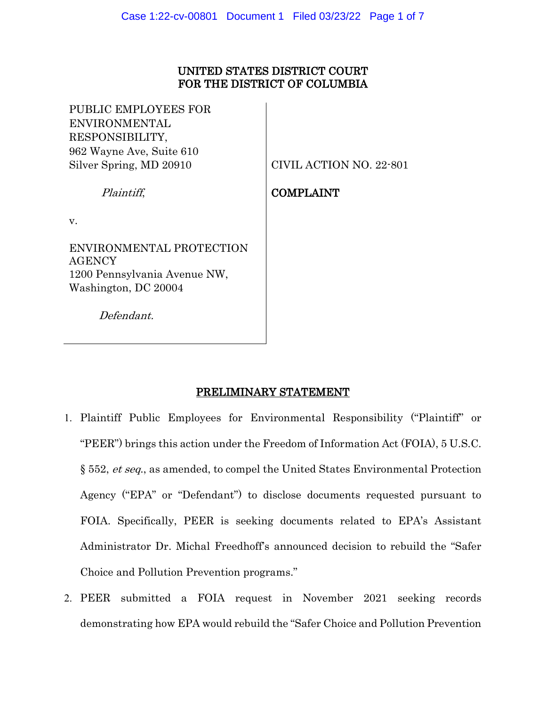## UNITED STATES DISTRICT COURT FOR THE DISTRICT OF COLUMBIA

PUBLIC EMPLOYEES FOR ENVIRONMENTAL RESPONSIBILITY, 962 Wayne Ave, Suite 610 Silver Spring, MD 20910

CIVIL ACTION NO. 22-801

COMPLAINT

## Plaintiff,

v.

ENVIRONMENTAL PROTECTION AGENCY 1200 Pennsylvania Avenue NW, Washington, DC 20004

Defendant.

# PRELIMINARY STATEMENT

- 1. Plaintiff Public Employees for Environmental Responsibility ("Plaintiff" or "PEER") brings this action under the Freedom of Information Act (FOIA), 5 U.S.C. § 552, et seq., as amended, to compel the United States Environmental Protection Agency ("EPA" or "Defendant") to disclose documents requested pursuant to FOIA. Specifically, PEER is seeking documents related to EPA's Assistant Administrator Dr. Michal Freedhoff's announced decision to rebuild the "Safer Choice and Pollution Prevention programs."
- 2. PEER submitted a FOIA request in November 2021 seeking records demonstrating how EPA would rebuild the "Safer Choice and Pollution Prevention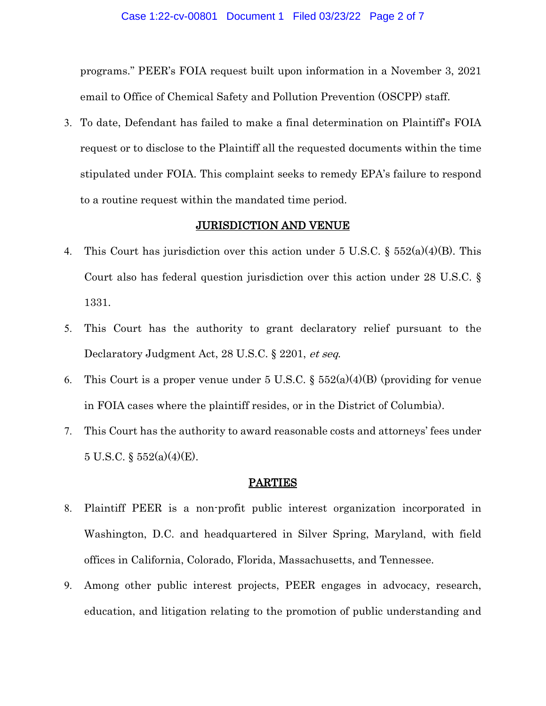programs." PEER's FOIA request built upon information in a November 3, 2021 email to Office of Chemical Safety and Pollution Prevention (OSCPP) staff.

3. To date, Defendant has failed to make a final determination on Plaintiff's FOIA request or to disclose to the Plaintiff all the requested documents within the time stipulated under FOIA. This complaint seeks to remedy EPA's failure to respond to a routine request within the mandated time period.

### JURISDICTION AND VENUE

- 4. This Court has jurisdiction over this action under 5 U.S.C.  $\S$  552(a)(4)(B). This Court also has federal question jurisdiction over this action under 28 U.S.C. § 1331.
- 5. This Court has the authority to grant declaratory relief pursuant to the Declaratory Judgment Act, 28 U.S.C. § 2201, et seq.
- 6. This Court is a proper venue under 5 U.S.C.  $\S 552(a)(4)(B)$  (providing for venue in FOIA cases where the plaintiff resides, or in the District of Columbia).
- 7. This Court has the authority to award reasonable costs and attorneys' fees under 5 U.S.C.  $\S$  552(a)(4)(E).

#### PARTIES

- 8. Plaintiff PEER is a non-profit public interest organization incorporated in Washington, D.C. and headquartered in Silver Spring, Maryland, with field offices in California, Colorado, Florida, Massachusetts, and Tennessee.
- 9. Among other public interest projects, PEER engages in advocacy, research, education, and litigation relating to the promotion of public understanding and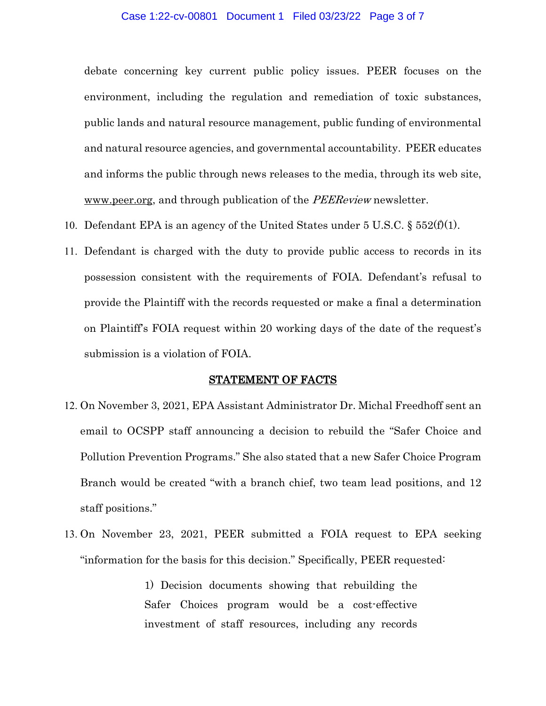#### Case 1:22-cv-00801 Document 1 Filed 03/23/22 Page 3 of 7

debate concerning key current public policy issues. PEER focuses on the environment, including the regulation and remediation of toxic substances, public lands and natural resource management, public funding of environmental and natural resource agencies, and governmental accountability. PEER educates and informs the public through news releases to the media, through its web site, [www.peer.org,](http://www.peer.org/) and through publication of the *PEEReview* newsletter.

- 10. Defendant EPA is an agency of the United States under  $5 \text{ U.S.C.}$  §  $552(f)(1)$ .
- 11. Defendant is charged with the duty to provide public access to records in its possession consistent with the requirements of FOIA. Defendant's refusal to provide the Plaintiff with the records requested or make a final a determination on Plaintiff's FOIA request within 20 working days of the date of the request's submission is a violation of FOIA.

#### STATEMENT OF FACTS

- 12. On November 3, 2021, EPA Assistant Administrator Dr. Michal Freedhoff sent an email to OCSPP staff announcing a decision to rebuild the "Safer Choice and Pollution Prevention Programs." She also stated that a new Safer Choice Program Branch would be created "with a branch chief, two team lead positions, and 12 staff positions."
- 13. On November 23, 2021, PEER submitted a FOIA request to EPA seeking "information for the basis for this decision." Specifically, PEER requested:

1) Decision documents showing that rebuilding the Safer Choices program would be a cost-effective investment of staff resources, including any records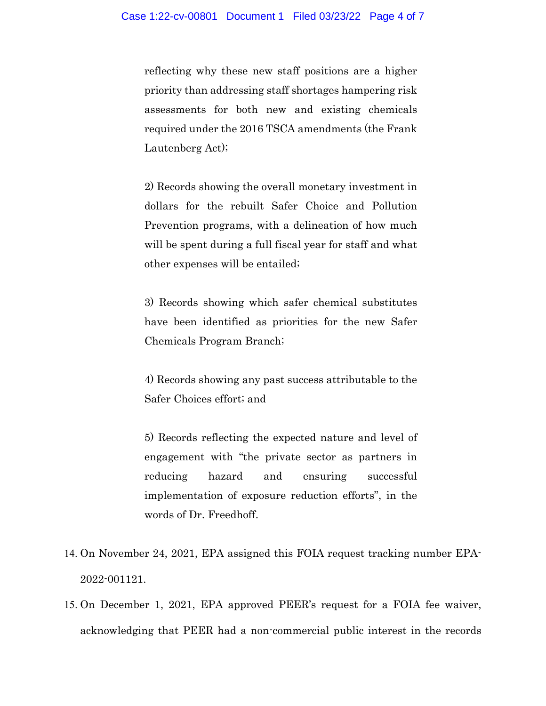reflecting why these new staff positions are a higher priority than addressing staff shortages hampering risk assessments for both new and existing chemicals required under the 2016 TSCA amendments (the Frank Lautenberg Act);

2) Records showing the overall monetary investment in dollars for the rebuilt Safer Choice and Pollution Prevention programs, with a delineation of how much will be spent during a full fiscal year for staff and what other expenses will be entailed;

3) Records showing which safer chemical substitutes have been identified as priorities for the new Safer Chemicals Program Branch;

4) Records showing any past success attributable to the Safer Choices effort; and

5) Records reflecting the expected nature and level of engagement with "the private sector as partners in reducing hazard and ensuring successful implementation of exposure reduction efforts", in the words of Dr. Freedhoff.

- 14. On November 24, 2021, EPA assigned this FOIA request tracking number EPA-2022-001121.
- 15. On December 1, 2021, EPA approved PEER's request for a FOIA fee waiver, acknowledging that PEER had a non-commercial public interest in the records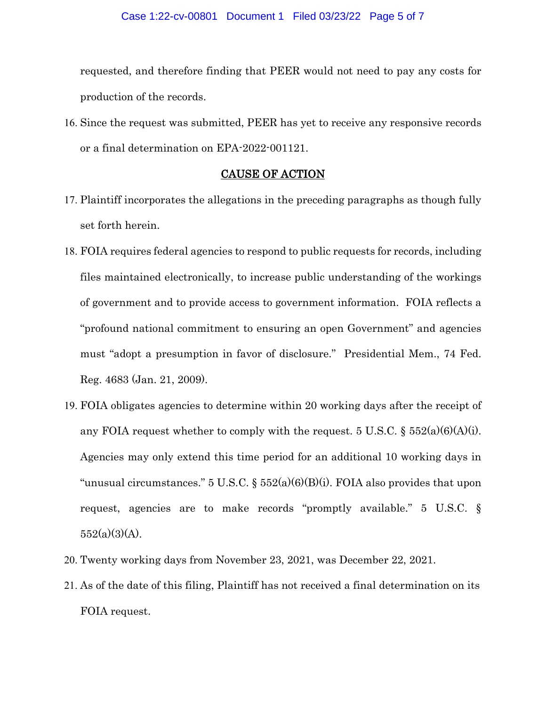requested, and therefore finding that PEER would not need to pay any costs for production of the records.

16. Since the request was submitted, PEER has yet to receive any responsive records or a final determination on EPA-2022-001121.

### CAUSE OF ACTION

- 17. Plaintiff incorporates the allegations in the preceding paragraphs as though fully set forth herein.
- 18. FOIA requires federal agencies to respond to public requests for records, including files maintained electronically, to increase public understanding of the workings of government and to provide access to government information. FOIA reflects a "profound national commitment to ensuring an open Government" and agencies must "adopt a presumption in favor of disclosure." Presidential Mem., 74 Fed. Reg. 4683 (Jan. 21, 2009).
- 19. FOIA obligates agencies to determine within 20 working days after the receipt of any FOIA request whether to comply with the request. 5 U.S.C.  $\S 552(a)(6)(A)(i)$ . Agencies may only extend this time period for an additional 10 working days in "unusual circumstances." 5 U.S.C. §  $552(a)(6)(B)(i)$ . FOIA also provides that upon request, agencies are to make records "promptly available." 5 U.S.C. §  $552(a)(3)(A)$ .
- 20. Twenty working days from November 23, 2021, was December 22, 2021.
- 21. As of the date of this filing, Plaintiff has not received a final determination on its FOIA request.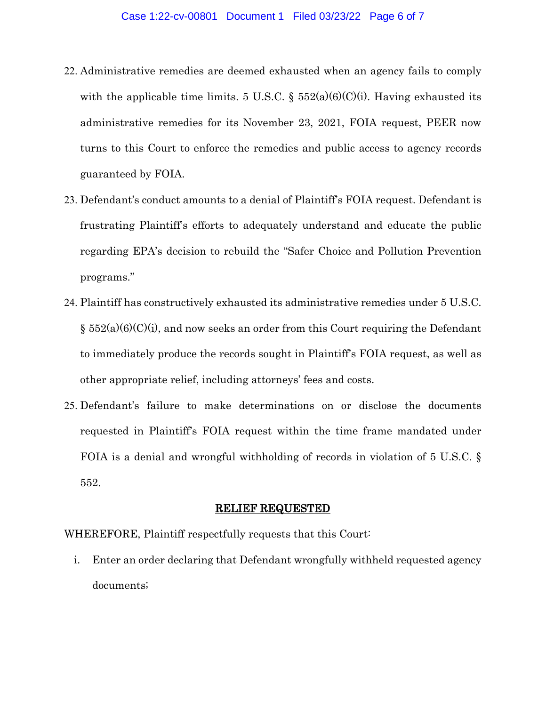- 22. Administrative remedies are deemed exhausted when an agency fails to comply with the applicable time limits. 5 U.S.C. §  $552(a)(6)(C)(i)$ . Having exhausted its administrative remedies for its November 23, 2021, FOIA request, PEER now turns to this Court to enforce the remedies and public access to agency records guaranteed by FOIA.
- 23. Defendant's conduct amounts to a denial of Plaintiff's FOIA request. Defendant is frustrating Plaintiff's efforts to adequately understand and educate the public regarding EPA's decision to rebuild the "Safer Choice and Pollution Prevention programs."
- 24. Plaintiff has constructively exhausted its administrative remedies under 5 U.S.C.  $\S$  552(a)(6)(C)(i), and now seeks an order from this Court requiring the Defendant to immediately produce the records sought in Plaintiff's FOIA request, as well as other appropriate relief, including attorneys' fees and costs.
- 25. Defendant's failure to make determinations on or disclose the documents requested in Plaintiff's FOIA request within the time frame mandated under FOIA is a denial and wrongful withholding of records in violation of 5 U.S.C. § 552.

#### RELIEF REQUESTED

WHEREFORE, Plaintiff respectfully requests that this Court:

i. Enter an order declaring that Defendant wrongfully withheld requested agency documents;